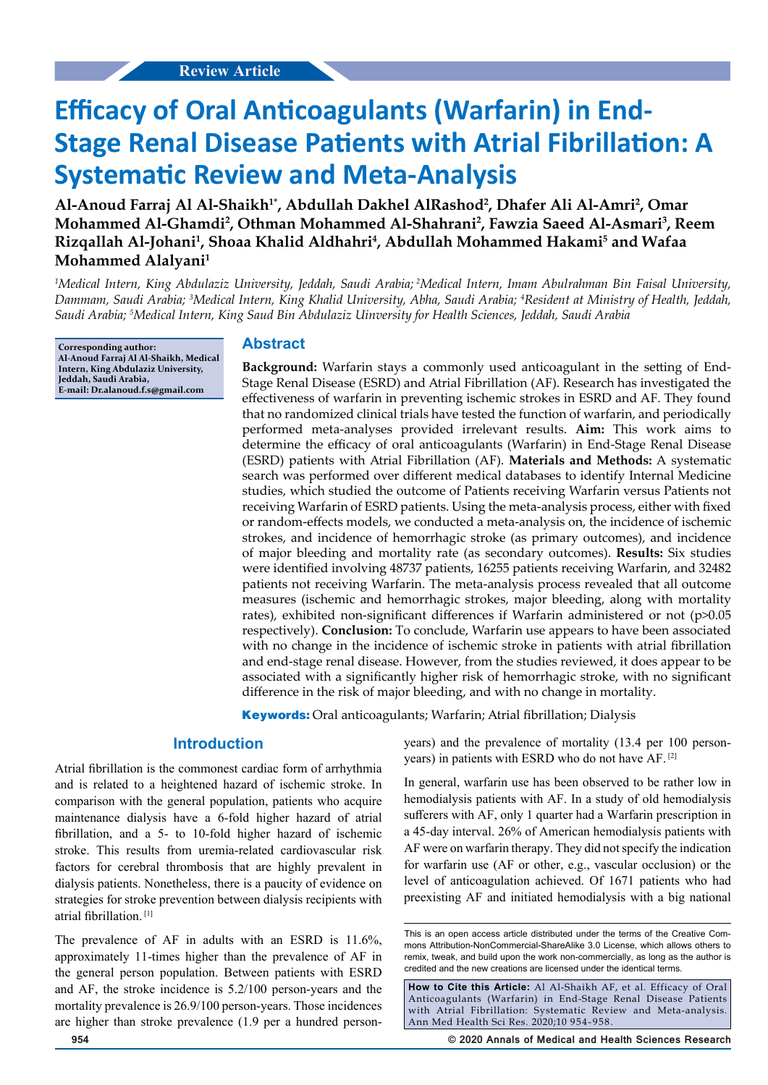# **Efficacy of Oral Anticoagulants (Warfarin) in End-Stage Renal Disease Patients with Atrial Fibrillation: A Systematic Review and Meta-Analysis**

Al-Anoud Farraj Al Al-Shaikh<sup>1\*</sup>, Abdullah Dakhel AlRashod<sup>2</sup>, Dhafer Ali Al-Amri<sup>2</sup>, Omar **Mohammed Al-Ghamdi2 , Othman Mohammed Al-Shahrani2 , Fawzia Saeed Al-Asmari3 , Reem Rizqallah Al-Johani1 , Shoaa Khalid Aldhahri4 , Abdullah Mohammed Hakami5 and Wafaa Mohammed Alalyani1**

*1 Medical Intern, King Abdulaziz University, Jeddah, Saudi Arabia; 2Medical Intern, Imam Abulrahman Bin Faisal University, Dammam, Saudi Arabia; 3 Medical Intern, King Khalid University, Abha, Saudi Arabia; 4 Resident at Ministry of Health, Jeddah, Saudi Arabia; 5 Medical Intern, King Saud Bin Abdulaziz Uinversity for Health Sciences, Jeddah, Saudi Arabia*

**Corresponding author: Al-Anoud Farraj Al Al-Shaikh, Medical Intern, King Abdulaziz University, Jeddah, Saudi Arabia, E-mail: Dr.alanoud.f.s@gmail.com**

## **Abstract**

**Background:** Warfarin stays a commonly used anticoagulant in the setting of End-Stage Renal Disease (ESRD) and Atrial Fibrillation (AF). Research has investigated the effectiveness of warfarin in preventing ischemic strokes in ESRD and AF. They found that no randomized clinical trials have tested the function of warfarin, and periodically performed meta-analyses provided irrelevant results. **Aim:** This work aims to determine the efficacy of oral anticoagulants (Warfarin) in End-Stage Renal Disease (ESRD) patients with Atrial Fibrillation (AF). **Materials and Methods:** A systematic search was performed over different medical databases to identify Internal Medicine studies, which studied the outcome of Patients receiving Warfarin versus Patients not receiving Warfarin of ESRD patients. Using the meta-analysis process, either with fixed or random-effects models, we conducted a meta-analysis on, the incidence of ischemic strokes, and incidence of hemorrhagic stroke (as primary outcomes), and incidence of major bleeding and mortality rate (as secondary outcomes). **Results:** Six studies were identified involving 48737 patients, 16255 patients receiving Warfarin, and 32482 patients not receiving Warfarin. The meta-analysis process revealed that all outcome measures (ischemic and hemorrhagic strokes, major bleeding, along with mortality rates), exhibited non-significant differences if Warfarin administered or not (p>0.05 respectively). **Conclusion:** To conclude, Warfarin use appears to have been associated with no change in the incidence of ischemic stroke in patients with atrial fibrillation and end-stage renal disease. However, from the studies reviewed, it does appear to be associated with a significantly higher risk of hemorrhagic stroke, with no significant difference in the risk of major bleeding, and with no change in mortality.

**Keywords:** Oral anticoagulants; Warfarin; Atrial fibrillation; Dialysis

# **Introduction**

Atrial fibrillation is the commonest cardiac form of arrhythmia and is related to a heightened hazard of ischemic stroke. In comparison with the general population, patients who acquire maintenance dialysis have a 6-fold higher hazard of atrial fibrillation, and a 5- to 10-fold higher hazard of ischemic stroke. This results from uremia-related cardiovascular risk factors for cerebral thrombosis that are highly prevalent in dialysis patients. Nonetheless, there is a paucity of evidence on strategies for stroke prevention between dialysis recipients with atrial fibrillation. [1]

The prevalence of AF in adults with an ESRD is 11.6%, approximately 11-times higher than the prevalence of AF in the general person population. Between patients with ESRD and AF, the stroke incidence is 5.2/100 person-years and the mortality prevalence is 26.9/100 person-years. Those incidences are higher than stroke prevalence (1.9 per a hundred personyears) and the prevalence of mortality (13.4 per 100 personyears) in patients with ESRD who do not have AF. [2]

In general, warfarin use has been observed to be rather low in hemodialysis patients with AF. In a study of old hemodialysis sufferers with AF, only 1 quarter had a Warfarin prescription in a 45-day interval. 26% of American hemodialysis patients with AF were on warfarin therapy. They did not specify the indication for warfarin use (AF or other, e.g., vascular occlusion) or the level of anticoagulation achieved. Of 1671 patients who had preexisting AF and initiated hemodialysis with a big national

**How to Cite this Article:** Al Al-Shaikh AF, et al. Efficacy of Oral Anticoagulants (Warfarin) in End-Stage Renal Disease Patients with Atrial Fibrillation: Systematic Review and Meta-analysis. Ann Med Health Sci Res. 2020;10 954-958.

**954 © 2020 Annals of Medical and Health Sciences Research** 

This is an open access article distributed under the terms of the Creative Com‑ mons Attribution‑NonCommercial‑ShareAlike 3.0 License, which allows others to remix, tweak, and build upon the work non‑commercially, as long as the author is credited and the new creations are licensed under the identical terms.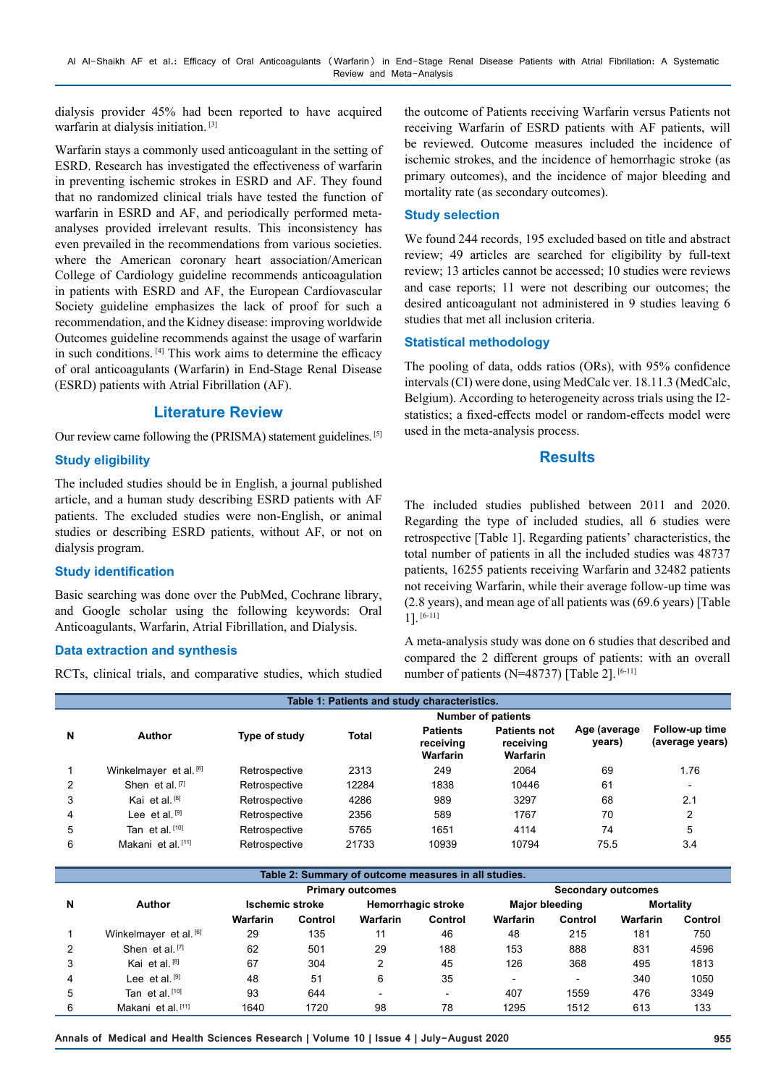dialysis provider 45% had been reported to have acquired warfarin at dialysis initiation. [3]

Warfarin stays a commonly used anticoagulant in the setting of ESRD. Research has investigated the effectiveness of warfarin in preventing ischemic strokes in ESRD and AF. They found that no randomized clinical trials have tested the function of warfarin in ESRD and AF, and periodically performed metaanalyses provided irrelevant results. This inconsistency has even prevailed in the recommendations from various societies. where the American coronary heart association/American College of Cardiology guideline recommends anticoagulation in patients with ESRD and AF, the European Cardiovascular Society guideline emphasizes the lack of proof for such a recommendation, and the Kidney disease: improving worldwide Outcomes guideline recommends against the usage of warfarin in such conditions. [4] This work aims to determine the efficacy of oral anticoagulants (Warfarin) in End-Stage Renal Disease (ESRD) patients with Atrial Fibrillation (AF).

# **Literature Review**

Our review came following the (PRISMA) statement guidelines. [5]

## **Study eligibility**

The included studies should be in English, a journal published article, and a human study describing ESRD patients with AF patients. The excluded studies were non-English, or animal studies or describing ESRD patients, without AF, or not on dialysis program.

#### **Study identification**

Basic searching was done over the PubMed, Cochrane library, and Google scholar using the following keywords: Oral Anticoagulants, Warfarin, Atrial Fibrillation, and Dialysis.

#### **Data extraction and synthesis**

RCTs, clinical trials, and comparative studies, which studied

the outcome of Patients receiving Warfarin versus Patients not receiving Warfarin of ESRD patients with AF patients, will be reviewed. Outcome measures included the incidence of ischemic strokes, and the incidence of hemorrhagic stroke (as primary outcomes), and the incidence of major bleeding and mortality rate (as secondary outcomes).

#### **Study selection**

We found 244 records, 195 excluded based on title and abstract review; 49 articles are searched for eligibility by full-text review; 13 articles cannot be accessed; 10 studies were reviews and case reports; 11 were not describing our outcomes; the desired anticoagulant not administered in 9 studies leaving 6 studies that met all inclusion criteria.

#### **Statistical methodology**

The pooling of data, odds ratios (ORs), with 95% confidence intervals (CI) were done, using MedCalc ver. 18.11.3 (MedCalc, Belgium). According to heterogeneity across trials using the I2 statistics; a fixed-effects model or random-effects model were used in the meta-analysis process.

# **Results**

The included studies published between 2011 and 2020. Regarding the type of included studies, all 6 studies were retrospective [Table 1]. Regarding patients' characteristics, the total number of patients in all the included studies was 48737 patients, 16255 patients receiving Warfarin and 32482 patients not receiving Warfarin, while their average follow-up time was (2.8 years), and mean age of all patients was (69.6 years) [Table 1]. [6-11]

A meta-analysis study was done on 6 studies that described and compared the 2 different groups of patients: with an overall number of patients (N=48737) [Table 2].  $[6-11]$ 

| Table 1: Patients and study characteristics. |                               |                           |       |                                                 |                                                     |                        |                                   |  |  |  |  |
|----------------------------------------------|-------------------------------|---------------------------|-------|-------------------------------------------------|-----------------------------------------------------|------------------------|-----------------------------------|--|--|--|--|
|                                              |                               | <b>Number of patients</b> |       |                                                 |                                                     |                        |                                   |  |  |  |  |
| N                                            | Author                        | Type of study             | Total | <b>Patients</b><br>receiving<br><b>Warfarin</b> | <b>Patients not</b><br>receiving<br><b>Warfarin</b> | Age (average<br>years) | Follow-up time<br>(average years) |  |  |  |  |
|                                              | Winkelmayer et al. [6]        | Retrospective             | 2313  | 249                                             | 2064                                                | 69                     | 1.76                              |  |  |  |  |
| 2                                            | Shen et al. [7]               | Retrospective             | 12284 | 1838                                            | 10446                                               | 61                     | ۰                                 |  |  |  |  |
| 3                                            | Kai et al. [8]                | Retrospective             | 4286  | 989                                             | 3297                                                | 68                     | 2.1                               |  |  |  |  |
| 4                                            | Lee et al. $[9]$              | Retrospective             | 2356  | 589                                             | 1767                                                | 70                     | 2                                 |  |  |  |  |
| 5                                            | Tan et al. [10]               | Retrospective             | 5765  | 1651                                            | 4114                                                | 74                     | 5                                 |  |  |  |  |
| 6                                            | Makani et al. <sup>[11]</sup> | Retrospective             | 21733 | 10939                                           | 10794                                               | 75.5                   | 3.4                               |  |  |  |  |

| Table 2: Summary of outcome measures in all studies. |                        |                         |         |                    |                          |                           |         |                  |         |  |  |  |  |
|------------------------------------------------------|------------------------|-------------------------|---------|--------------------|--------------------------|---------------------------|---------|------------------|---------|--|--|--|--|
|                                                      | <b>Author</b>          | <b>Primary outcomes</b> |         |                    |                          | <b>Secondary outcomes</b> |         |                  |         |  |  |  |  |
| N                                                    |                        | <b>Ischemic stroke</b>  |         | Hemorrhagic stroke |                          | <b>Major bleeding</b>     |         | <b>Mortality</b> |         |  |  |  |  |
|                                                      |                        | Warfarin                | Control | Warfarin           | Control                  | Warfarin                  | Control | Warfarin         | Control |  |  |  |  |
|                                                      | Winkelmayer et al. [6] | 29                      | 135     | 11                 | 46                       | 48                        | 215     | 181              | 750     |  |  |  |  |
|                                                      | Shen et al. $[7]$      | 62                      | 501     | 29                 | 188                      | 153                       | 888     | 831              | 4596    |  |  |  |  |
| 3                                                    | Kai et al. [8]         | 67                      | 304     | 2                  | 45                       | 126                       | 368     | 495              | 1813    |  |  |  |  |
| 4                                                    | Lee et al. $[9]$       | 48                      | 51      | 6                  | 35                       | $\overline{\phantom{0}}$  | -       | 340              | 1050    |  |  |  |  |
| 5                                                    | Tan et al. [10]        | 93                      | 644     | -                  | $\overline{\phantom{0}}$ | 407                       | 1559    | 476              | 3349    |  |  |  |  |
| 6                                                    | Makani et al. [11]     | 1640                    | 1720    | 98                 | 78                       | 1295                      | 1512    | 613              | 133     |  |  |  |  |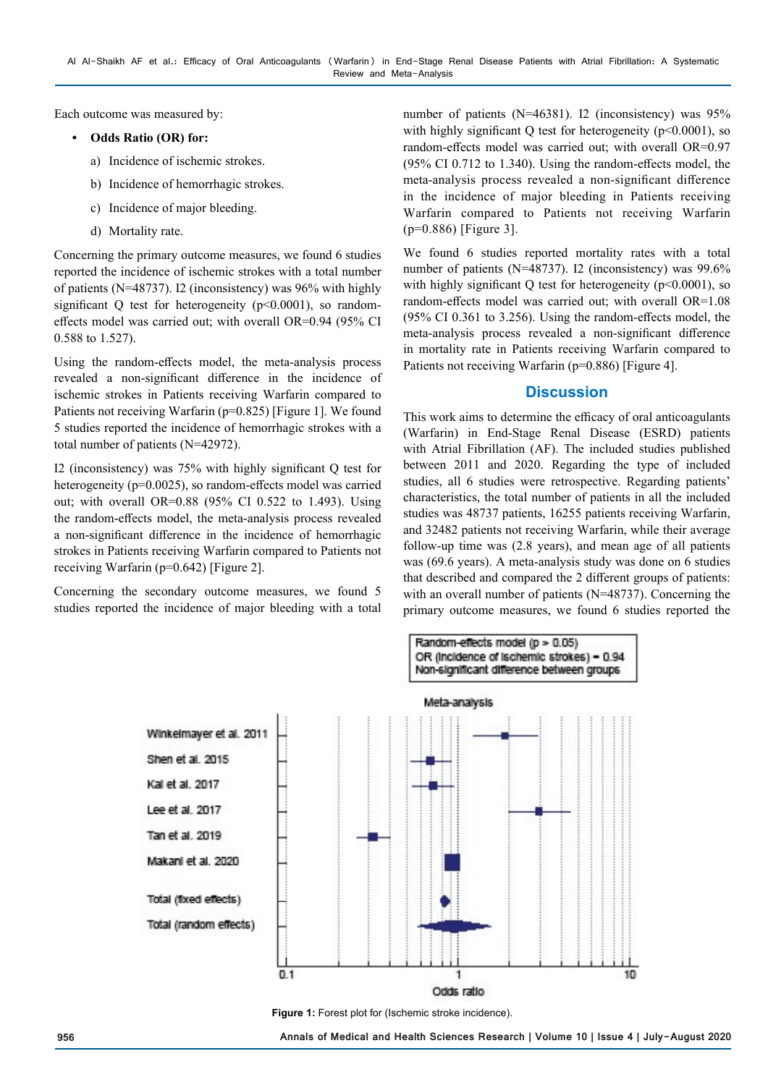Each outcome was measured by:

### **• Odds Ratio (OR) for:**

- a) Incidence of ischemic strokes.
- b) Incidence of hemorrhagic strokes.
- c) Incidence of major bleeding.
- d) Mortality rate.

Concerning the primary outcome measures, we found 6 studies reported the incidence of ischemic strokes with a total number of patients (N=48737). I2 (inconsistency) was 96% with highly significant Q test for heterogeneity (p<0.0001), so randomeffects model was carried out; with overall OR=0.94 (95% CI 0.588 to 1.527).

Using the random-effects model, the meta-analysis process revealed a non-significant difference in the incidence of ischemic strokes in Patients receiving Warfarin compared to Patients not receiving Warfarin (p=0.825) [Figure 1]. We found 5 studies reported the incidence of hemorrhagic strokes with a total number of patients (N=42972).

I2 (inconsistency) was 75% with highly significant Q test for heterogeneity (p=0.0025), so random-effects model was carried out; with overall OR=0.88 (95% CI 0.522 to 1.493). Using the random-effects model, the meta-analysis process revealed a non-significant difference in the incidence of hemorrhagic strokes in Patients receiving Warfarin compared to Patients not receiving Warfarin (p=0.642) [Figure 2].

Concerning the secondary outcome measures, we found 5 studies reported the incidence of major bleeding with a total

number of patients (N=46381). I2 (inconsistency) was 95% with highly significant Q test for heterogeneity (p<0.0001), so random-effects model was carried out; with overall OR=0.97 (95% CI 0.712 to 1.340). Using the random-effects model, the meta-analysis process revealed a non-significant difference in the incidence of major bleeding in Patients receiving Warfarin compared to Patients not receiving Warfarin (p=0.886) [Figure 3].

We found 6 studies reported mortality rates with a total number of patients (N=48737). I2 (inconsistency) was 99.6% with highly significant Q test for heterogeneity ( $p<0.0001$ ), so random-effects model was carried out; with overall OR=1.08 (95% CI 0.361 to 3.256). Using the random-effects model, the meta-analysis process revealed a non-significant difference in mortality rate in Patients receiving Warfarin compared to Patients not receiving Warfarin (p=0.886) [Figure 4].

# **Discussion**

This work aims to determine the efficacy of oral anticoagulants (Warfarin) in End-Stage Renal Disease (ESRD) patients with Atrial Fibrillation (AF). The included studies published between 2011 and 2020. Regarding the type of included studies, all 6 studies were retrospective. Regarding patients' characteristics, the total number of patients in all the included studies was 48737 patients, 16255 patients receiving Warfarin, and 32482 patients not receiving Warfarin, while their average follow-up time was (2.8 years), and mean age of all patients was (69.6 years). A meta-analysis study was done on 6 studies that described and compared the 2 different groups of patients: with an overall number of patients (N=48737). Concerning the primary outcome measures, we found 6 studies reported the



**Figure 1:** Forest plot for (Ischemic stroke incidence).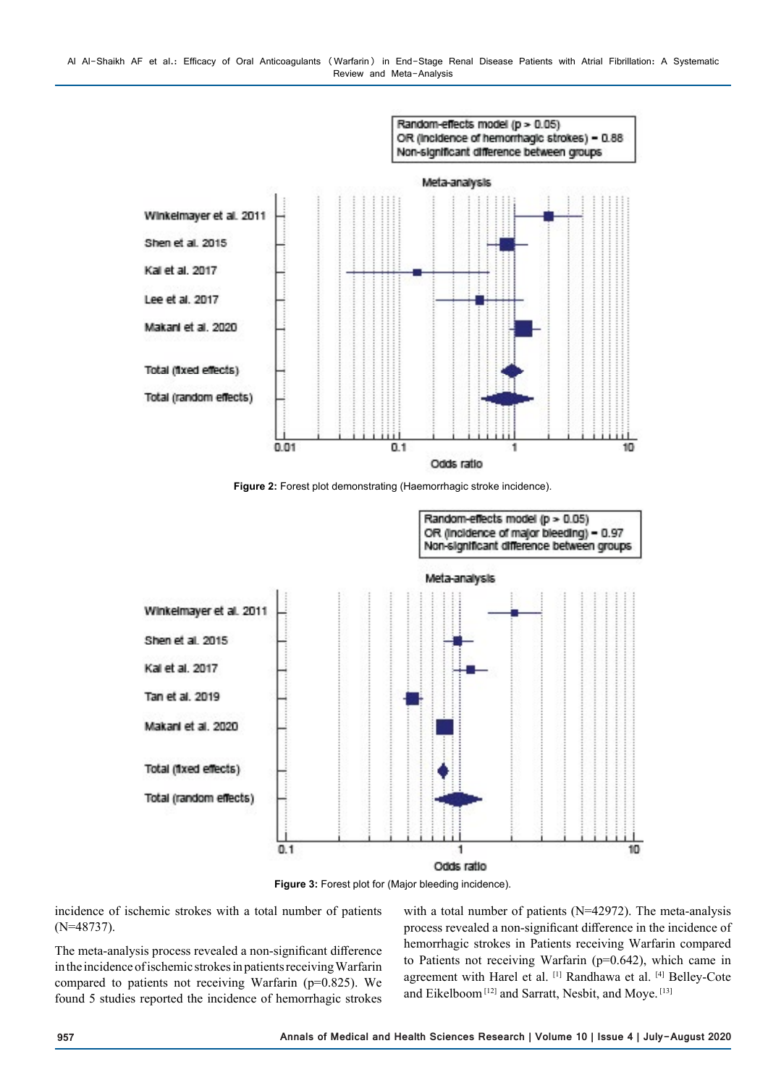

**Figure 2:** Forest plot demonstrating (Haemorrhagic stroke incidence).



**Figure 3:** Forest plot for (Major bleeding incidence).

incidence of ischemic strokes with a total number of patients (N=48737).

The meta-analysis process revealed a non-significant difference in the incidence of ischemic strokes in patients receiving Warfarin compared to patients not receiving Warfarin (p=0.825). We found 5 studies reported the incidence of hemorrhagic strokes

with a total number of patients (N=42972). The meta-analysis process revealed a non-significant difference in the incidence of hemorrhagic strokes in Patients receiving Warfarin compared to Patients not receiving Warfarin (p=0.642), which came in agreement with Harel et al. [1] Randhawa et al. [4] Belley-Cote and Eikelboom<sup>[12]</sup> and Sarratt, Nesbit, and Moye.<sup>[13]</sup>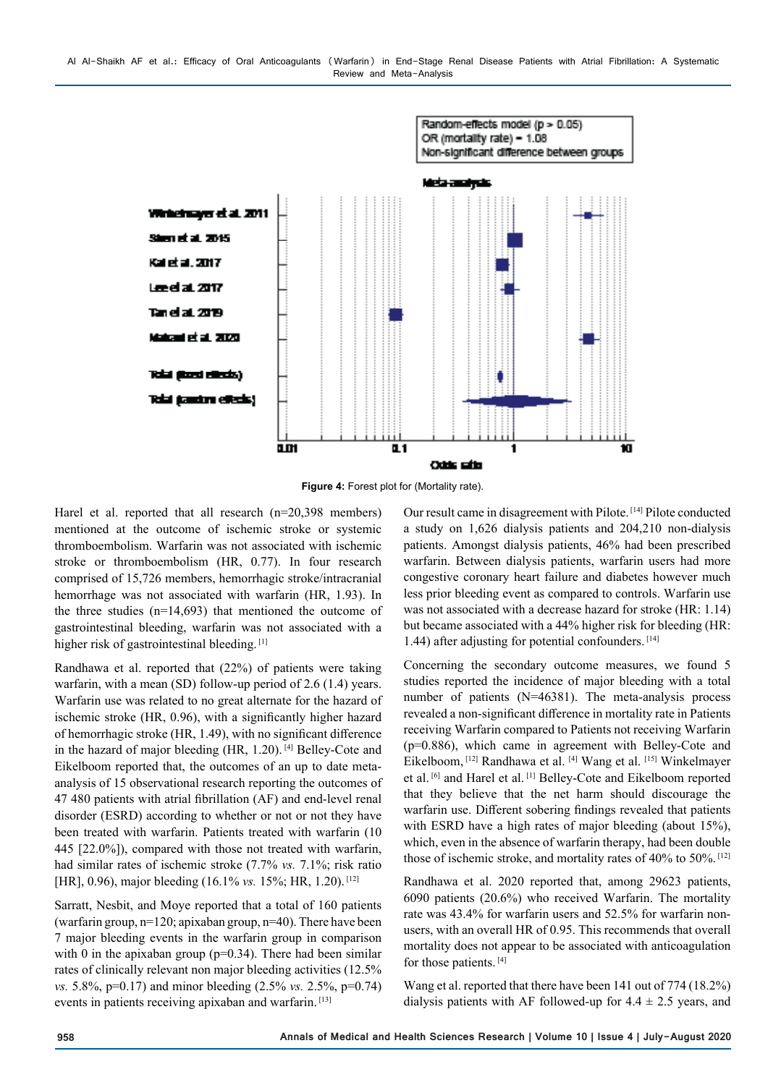



Harel et al. reported that all research (n=20,398 members) mentioned at the outcome of ischemic stroke or systemic thromboembolism. Warfarin was not associated with ischemic stroke or thromboembolism (HR, 0.77). In four research comprised of 15,726 members, hemorrhagic stroke/intracranial hemorrhage was not associated with warfarin (HR, 1.93). In the three studies (n=14,693) that mentioned the outcome of gastrointestinal bleeding, warfarin was not associated with a higher risk of gastrointestinal bleeding. [1]

Randhawa et al. reported that (22%) of patients were taking warfarin, with a mean (SD) follow-up period of 2.6 (1.4) years. Warfarin use was related to no great alternate for the hazard of ischemic stroke (HR, 0.96), with a significantly higher hazard of hemorrhagic stroke (HR, 1.49), with no significant difference in the hazard of major bleeding (HR, 1.20). [4] Belley-Cote and Eikelboom reported that, the outcomes of an up to date metaanalysis of 15 observational research reporting the outcomes of 47 480 patients with atrial fibrillation (AF) and end-level renal disorder (ESRD) according to whether or not or not they have been treated with warfarin. Patients treated with warfarin (10 445 [22.0%]), compared with those not treated with warfarin, had similar rates of ischemic stroke (7.7% *vs.* 7.1%; risk ratio [HR], 0.96), major bleeding (16.1% *vs.* 15%; HR, 1.20).<sup>[12]</sup>

Sarratt, Nesbit, and Moye reported that a total of 160 patients (warfarin group,  $n=120$ ; apixaban group,  $n=40$ ). There have been 7 major bleeding events in the warfarin group in comparison with 0 in the apixaban group ( $p=0.34$ ). There had been similar rates of clinically relevant non major bleeding activities (12.5% *vs.* 5.8%, p=0.17) and minor bleeding (2.5% *vs.* 2.5%, p=0.74) events in patients receiving apixaban and warfarin. [13]

Our result came in disagreement with Pilote. [14] Pilote conducted a study on 1,626 dialysis patients and 204,210 non-dialysis patients. Amongst dialysis patients, 46% had been prescribed warfarin. Between dialysis patients, warfarin users had more congestive coronary heart failure and diabetes however much less prior bleeding event as compared to controls. Warfarin use was not associated with a decrease hazard for stroke (HR: 1.14) but became associated with a 44% higher risk for bleeding (HR: 1.44) after adjusting for potential confounders.  $[14]$ 

Concerning the secondary outcome measures, we found 5 studies reported the incidence of major bleeding with a total number of patients (N=46381). The meta-analysis process revealed a non-significant difference in mortality rate in Patients receiving Warfarin compared to Patients not receiving Warfarin (p=0.886), which came in agreement with Belley-Cote and Eikelboom, [12] Randhawa et al. [4] Wang et al. [15] Winkelmayer et al. [6] and Harel et al. [1] Belley-Cote and Eikelboom reported that they believe that the net harm should discourage the warfarin use. Different sobering findings revealed that patients with ESRD have a high rates of major bleeding (about 15%), which, even in the absence of warfarin therapy, had been double those of ischemic stroke, and mortality rates of 40% to 50%. [12]

Randhawa et al. 2020 reported that, among 29623 patients, 6090 patients (20.6%) who received Warfarin. The mortality rate was 43.4% for warfarin users and 52.5% for warfarin nonusers, with an overall HR of 0.95. This recommends that overall mortality does not appear to be associated with anticoagulation for those patients. [4]

Wang et al. reported that there have been 141 out of 774 (18.2%) dialysis patients with AF followed-up for  $4.4 \pm 2.5$  years, and